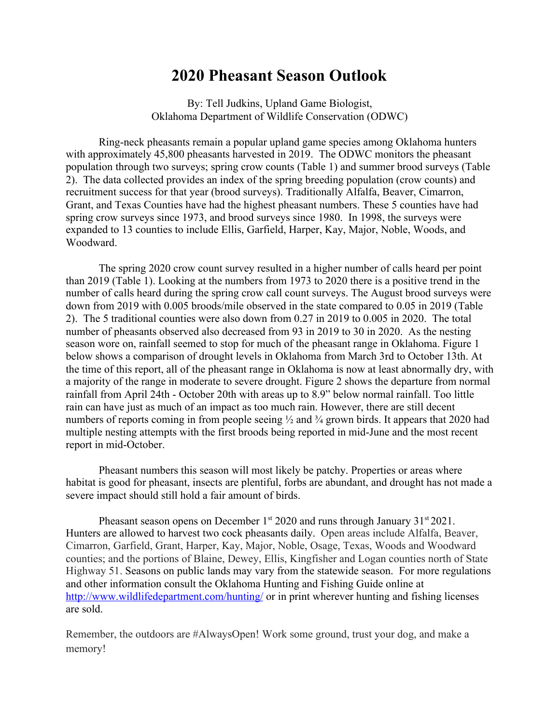## **2020 Pheasant Season Outlook**

By: Tell Judkins, Upland Game Biologist, Oklahoma Department of Wildlife Conservation (ODWC)

Ring-neck pheasants remain a popular upland game species among Oklahoma hunters with approximately 45,800 pheasants harvested in 2019. The ODWC monitors the pheasant population through two surveys; spring crow counts (Table 1) and summer brood surveys (Table 2). The data collected provides an index of the spring breeding population (crow counts) and recruitment success for that year (brood surveys). Traditionally Alfalfa, Beaver, Cimarron, Grant, and Texas Counties have had the highest pheasant numbers. These 5 counties have had spring crow surveys since 1973, and brood surveys since 1980. In 1998, the surveys were expanded to 13 counties to include Ellis, Garfield, Harper, Kay, Major, Noble, Woods, and Woodward.

The spring 2020 crow count survey resulted in a higher number of calls heard per point than 2019 (Table 1). Looking at the numbers from 1973 to 2020 there is a positive trend in the number of calls heard during the spring crow call count surveys. The August brood surveys were down from 2019 with 0.005 broods/mile observed in the state compared to 0.05 in 2019 (Table 2). The 5 traditional counties were also down from 0.27 in 2019 to 0.005 in 2020. The total number of pheasants observed also decreased from 93 in 2019 to 30 in 2020. As the nesting season wore on, rainfall seemed to stop for much of the pheasant range in Oklahoma. Figure 1 below shows a comparison of drought levels in Oklahoma from March 3rd to October 13th. At the time of this report, all of the pheasant range in Oklahoma is now at least abnormally dry, with a majority of the range in moderate to severe drought. Figure 2 shows the departure from normal rainfall from April 24th - October 20th with areas up to 8.9" below normal rainfall. Too little rain can have just as much of an impact as too much rain. However, there are still decent numbers of reports coming in from people seeing  $\frac{1}{2}$  and  $\frac{3}{4}$  grown birds. It appears that 2020 had multiple nesting attempts with the first broods being reported in mid-June and the most recent report in mid-October.

Pheasant numbers this season will most likely be patchy. Properties or areas where habitat is good for pheasant, insects are plentiful, forbs are abundant, and drought has not made a severe impact should still hold a fair amount of birds.

Pheasant season opens on December 1st 2020 and runs through January  $31<sup>st</sup> 2021$ . Hunters are allowed to harvest two cock pheasants daily. Open areas include Alfalfa, Beaver, Cimarron, Garfield, Grant, Harper, Kay, Major, Noble, Osage, Texas, Woods and Woodward counties; and the portions of Blaine, Dewey, Ellis, Kingfisher and Logan counties north of State Highway 51. Seasons on public lands may vary from the statewide season. For more regulations and other information consult the Oklahoma Hunting and Fishing Guide online at <http://www.wildlifedepartment.com/hunting/>or in print wherever hunting and fishing licenses are sold.

Remember, the outdoors are #AlwaysOpen! Work some ground, trust your dog, and make a memory!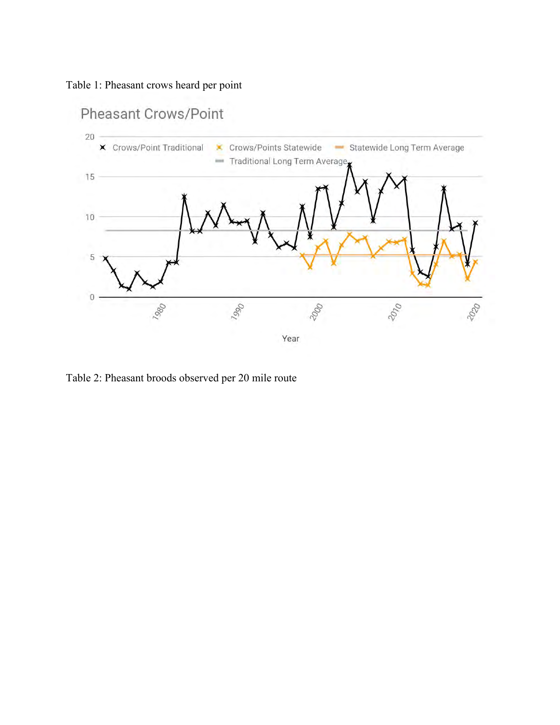Table 1: Pheasant crows heard per point



Table 2: Pheasant broods observed per 20 mile route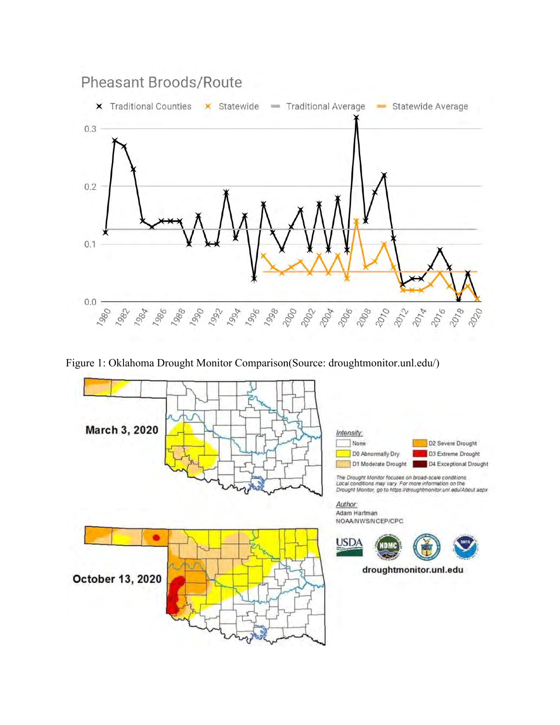

Figure 1: Oklahoma Drought Monitor Comparison(Source: droughtmonitor.unl.edu/)





The Drought Monitor focuses on broad-scale conditions:<br>Local conditions may vary. For more information on the<br>Drought Monitor, go to https://droughtmonitor.unl.edu/About.aspx

Author: Adam Hartman NOAA/NWS/NCEP/CPC

**USDA** droughtmonitor.unl.edu